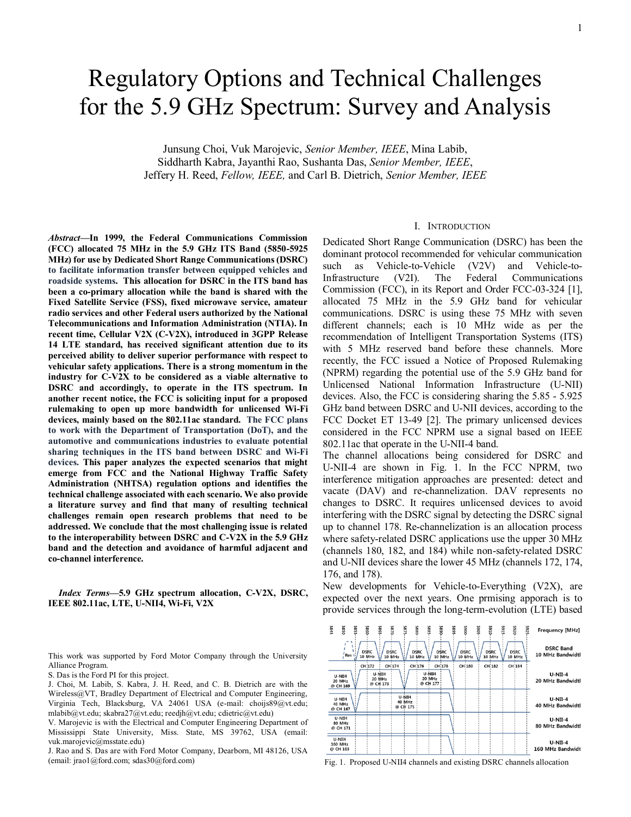# Regulatory Options and Technical Challenges for the 5.9 GHz Spectrum: Survey and Analysis

Junsung Choi, Vuk Marojevic, *Senior Member, IEEE*, Mina Labib, Siddharth Kabra, Jayanthi Rao, Sushanta Das, *Senior Member, IEEE*, Jeffery H. Reed, *Fellow, IEEE,* and Carl B. Dietrich, *Senior Member, IEEE*

*Abstract***—In 1999, the Federal Communications Commission (FCC) allocated 75 MHz in the 5.9 GHz ITS Band (5850-5925 MHz) for use by Dedicated Short Range Communications (DSRC) to facilitate information transfer between equipped vehicles and roadside systems. This allocation for DSRC in the ITS band has been a co-primary allocation while the band is shared with the Fixed Satellite Service (FSS), fixed microwave service, amateur radio services and other Federal users authorized by the National Telecommunications and Information Administration (NTIA). In recent time, Cellular V2X (C-V2X), introduced in 3GPP Release 14 LTE standard, has received significant attention due to its perceived ability to deliver superior performance with respect to vehicular safety applications. There is a strong momentum in the industry for C-V2X to be considered as a viable alternative to DSRC and accordingly, to operate in the ITS spectrum. In another recent notice, the FCC is soliciting input for a proposed rulemaking to open up more bandwidth for unlicensed Wi-Fi devices, mainly based on the 802.11ac standard. The FCC plans to work with the Department of Transportation (DoT), and the automotive and communications industries to evaluate potential sharing techniques in the ITS band between DSRC and Wi-Fi devices. This paper analyzes the expected scenarios that might emerge from FCC and the National Highway Traffic Safety Administration (NHTSA) regulation options and identifies the technical challenge associated with each scenario. We also provide a literature survey and find that many of resulting technical challenges remain open research problems that need to be addressed. We conclude that the most challenging issue is related to the interoperability between DSRC and C-V2X in the 5.9 GHz band and the detection and avoidance of harmful adjacent and co-channel interference.**

*Index Terms***—5.9 GHz spectrum allocation, C-V2X, DSRC, IEEE 802.11ac, LTE, U-NII4, Wi-Fi, V2X**

This work was supported by Ford Motor Company through the University Alliance Program.

S. Das is the Ford PI for this project.

J. Choi, M. Labib, S. Kabra, J. H. Reed, and C. B. Dietrich are with the Wireless@VT, Bradley Department of Electrical and Computer Engineering, Virginia Tech, Blacksburg, VA 24061 USA (e-mail: choijs89@vt.edu; mlabib@vt.edu; skabra27@vt.edu; reedjh@vt.edu; cdietric@vt.edu)

V. Marojevic is with the Electrical and Computer Engineering Department of Mississippi State University, Miss. State, MS 39762, USA (email: vuk.marojevic@msstate.edu)

J. Rao and S. Das are with Ford Motor Company, Dearborn, MI 48126, USA (email: jrao1@ford.com; sdas30@ford.com)

### I. INTRODUCTION

Dedicated Short Range Communication (DSRC) has been the dominant protocol recommended for vehicular communication such as Vehicle-to-Vehicle (V2V) and Vehicle-to-Infrastructure (V2I). The Federal Communications Commission (FCC), in its Report and Order FCC-03-324 [1], allocated 75 MHz in the 5.9 GHz band for vehicular communications. DSRC is using these 75 MHz with seven different channels; each is 10 MHz wide as per the recommendation of Intelligent Transportation Systems (ITS) with 5 MHz reserved band before these channels. More recently, the FCC issued a Notice of Proposed Rulemaking (NPRM) regarding the potential use of the 5.9 GHz band for Unlicensed National Information Infrastructure (U-NII) devices. Also, the FCC is considering sharing the 5.85 - 5.925 GHz band between DSRC and U-NII devices, according to the FCC Docket ET 13-49 [2]. The primary unlicensed devices considered in the FCC NPRM use a signal based on IEEE 802.11ac that operate in the U-NII-4 band.

The channel allocations being considered for DSRC and U-NII-4 are shown in Fig. 1. In the FCC NPRM, two interference mitigation approaches are presented: detect and vacate (DAV) and re-channelization. DAV represents no changes to DSRC. It requires unlicensed devices to avoid interfering with the DSRC signal by detecting the DSRC signal up to channel 178. Re-channelization is an allocation process where safety-related DSRC applications use the upper 30 MHz (channels 180, 182, and 184) while non-safety-related DSRC and U-NII devices share the lower 45 MHz (channels 172, 174, 176, and 178).

New developments for Vehicle-to-Everything (V2X), are expected over the next years. One prmising apporach is to provide services through the long-term-evolution (LTE) based



Fig. 1. Proposed U-NII4 channels and existing DSRC channels allocation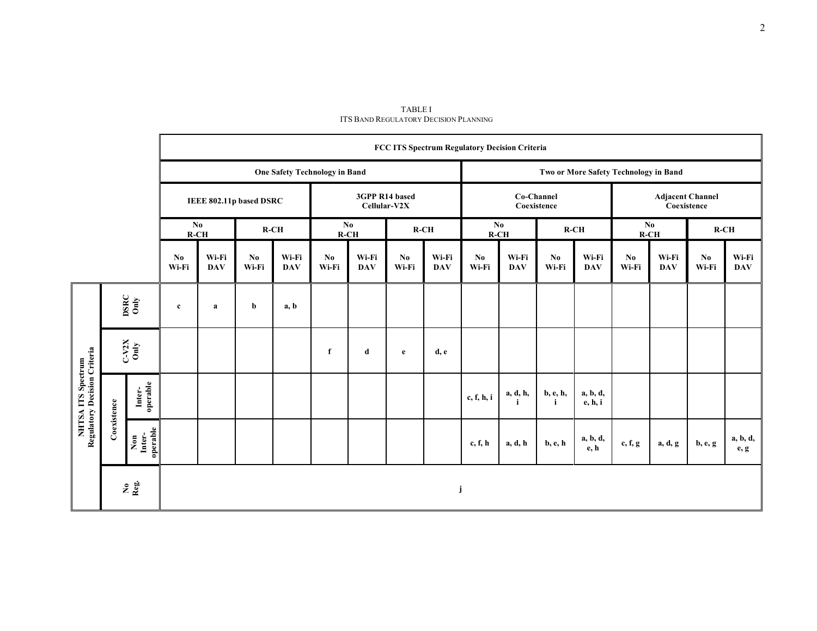|                                                    |                     |                                    | FCC ITS Spectrum Regulatory Decision Criteria |                                      |                         |                     |                                  |                     |              |                           |                                       |                     |                                 |                                        |               |                     |              |                     |
|----------------------------------------------------|---------------------|------------------------------------|-----------------------------------------------|--------------------------------------|-------------------------|---------------------|----------------------------------|---------------------|--------------|---------------------------|---------------------------------------|---------------------|---------------------------------|----------------------------------------|---------------|---------------------|--------------|---------------------|
|                                                    |                     |                                    |                                               | <b>One Safety Technology in Band</b> |                         |                     |                                  |                     |              |                           | Two or More Safety Technology in Band |                     |                                 |                                        |               |                     |              |                     |
|                                                    |                     |                                    |                                               |                                      | IEEE 802.11p based DSRC |                     | 3GPP R14 based<br>Cellular-V2X   |                     |              | Co-Channel<br>Coexistence |                                       |                     |                                 | <b>Adjacent Channel</b><br>Coexistence |               |                     |              |                     |
|                                                    |                     |                                    | N <sub>0</sub><br>$R-CH$                      |                                      | $R-CH$                  |                     | $\mathbf{N}\mathbf{0}$<br>$R-CH$ |                     | $R-CH$       |                           | N <sub>0</sub><br>$R-CH$              |                     | $R-CH$                          |                                        | No.<br>$R-CH$ |                     | $R-CH$       |                     |
|                                                    |                     |                                    | No.<br>Wi-Fi                                  | Wi-Fi<br><b>DAV</b>                  | No.<br>Wi-Fi            | Wi-Fi<br><b>DAV</b> | No<br>Wi-Fi                      | Wi-Fi<br><b>DAV</b> | No.<br>Wi-Fi | Wi-Fi<br><b>DAV</b>       | No<br>Wi-Fi                           | Wi-Fi<br><b>DAV</b> | $\mathbf{N}\mathbf{0}$<br>Wi-Fi | Wi-Fi<br><b>DAV</b>                    | No.<br>Wi-Fi  | Wi-Fi<br><b>DAV</b> | No.<br>Wi-Fi | Wi-Fi<br><b>DAV</b> |
| NHTSA ITS Spectrum<br>Regulatory Decision Criteria | $\frac{DBCC}{Omly}$ |                                    | $\mathbf c$                                   | a                                    | b                       | a, b                |                                  |                     |              |                           |                                       |                     |                                 |                                        |               |                     |              |                     |
|                                                    | $rac{-V2X}{Only}$   |                                    |                                               |                                      |                         |                     | f                                | d                   | e            | d, e                      |                                       |                     |                                 |                                        |               |                     |              |                     |
|                                                    | Coexistence         | Inter-<br>operable                 |                                               |                                      |                         |                     |                                  |                     |              |                           | c, f, h, i                            | a, d, h,            | b, e, h,<br>i                   | a, b, d,<br>e, h, i                    |               |                     |              |                     |
|                                                    |                     | Inter-<br>operable<br>$_{\rm Non}$ |                                               |                                      |                         |                     |                                  |                     |              |                           | c, f, h                               | a, d, h             | <b>b</b> , e, h                 | a, b, d,<br>e, h                       | c, f, g       | a, d, g             | $b, e, g$    | a, b, d,<br>e, g    |
|                                                    | $2 \frac{1}{2}$     |                                    |                                               |                                      |                         |                     |                                  |                     |              | j                         |                                       |                     |                                 |                                        |               |                     |              |                     |

TABLE I ITS BAND REGULATORY DECISION PLANNING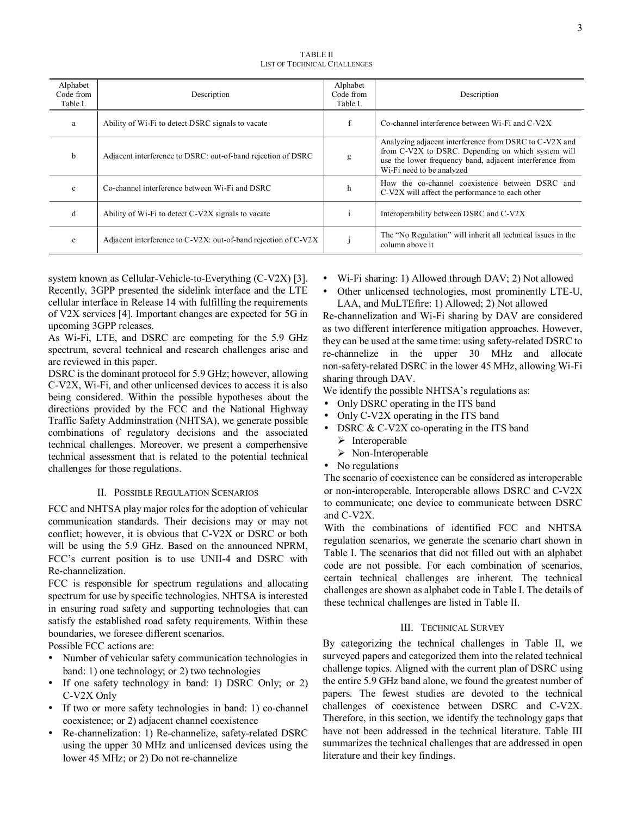TABLE II LIST OF TECHNICAL CHALLENGES

| Alphabet<br>Code from<br>Table I. | Description                                                    | Alphabet<br>Code from<br>Table I. | Description                                                                                                                                                                                           |
|-----------------------------------|----------------------------------------------------------------|-----------------------------------|-------------------------------------------------------------------------------------------------------------------------------------------------------------------------------------------------------|
| a                                 | Ability of Wi-Fi to detect DSRC signals to vacate              |                                   | Co-channel interference between Wi-Fi and C-V2X                                                                                                                                                       |
| b                                 | Adjacent interference to DSRC: out-of-band rejection of DSRC   | g                                 | Analyzing adjacent interference from DSRC to C-V2X and<br>from C-V2X to DSRC. Depending on which system will<br>use the lower frequency band, adjacent interference from<br>Wi-Fi need to be analyzed |
| $\mathbf{c}$                      | Co-channel interference between Wi-Fi and DSRC                 | h                                 | How the co-channel coexistence between DSRC and<br>C-V2X will affect the performance to each other                                                                                                    |
| d                                 | Ability of Wi-Fi to detect C-V2X signals to vacate             |                                   | Interoperability between DSRC and C-V2X                                                                                                                                                               |
| e                                 | Adjacent interference to C-V2X: out-of-band rejection of C-V2X |                                   | The "No Regulation" will inherit all technical issues in the<br>column above it                                                                                                                       |

system known as Cellular-Vehicle-to-Everything (C-V2X) [3]. Recently, 3GPP presented the sidelink interface and the LTE cellular interface in Release 14 with fulfilling the requirements of V2X services [4]. Important changes are expected for 5G in upcoming 3GPP releases.

As Wi-Fi, LTE, and DSRC are competing for the 5.9 GHz spectrum, several technical and research challenges arise and are reviewed in this paper.

DSRC is the dominant protocol for 5.9 GHz; however, allowing C-V2X, Wi-Fi, and other unlicensed devices to access it is also being considered. Within the possible hypotheses about the directions provided by the FCC and the National Highway Traffic Safety Addminstration (NHTSA), we generate possible combinations of regulatory decisions and the associated technical challenges. Moreover, we present a comperhensive technical assessment that is related to the potential technical challenges for those regulations.

# II. POSSIBLE REGULATION SCENARIOS

FCC and NHTSA play major roles for the adoption of vehicular communication standards. Their decisions may or may not conflict; however, it is obvious that C-V2X or DSRC or both will be using the 5.9 GHz. Based on the announced NPRM, FCC's current position is to use UNII-4 and DSRC with Re-channelization.

FCC is responsible for spectrum regulations and allocating spectrum for use by specific technologies. NHTSA is interested in ensuring road safety and supporting technologies that can satisfy the established road safety requirements. Within these boundaries, we foresee different scenarios.

Possible FCC actions are:

- Number of vehicular safety communication technologies in band: 1) one technology; or 2) two technologies
- If one safety technology in band: 1) DSRC Only; or 2) C-V2X Only
- If two or more safety technologies in band: 1) co-channel coexistence; or 2) adjacent channel coexistence
- Re-channelization: 1) Re-channelize, safety-related DSRC using the upper 30 MHz and unlicensed devices using the lower 45 MHz; or 2) Do not re-channelize
- Wi-Fi sharing: 1) Allowed through DAV; 2) Not allowed
- Other unlicensed technologies, most prominently LTE-U, LAA, and MuLTEfire: 1) Allowed; 2) Not allowed

Re-channelization and Wi-Fi sharing by DAV are considered as two different interference mitigation approaches. However, they can be used at the same time: using safety-related DSRC to re-channelize in the upper 30 MHz and allocate non-safety-related DSRC in the lower 45 MHz, allowing Wi-Fi sharing through DAV.

We identify the possible NHTSA's regulations as:

- Only DSRC operating in the ITS band
- Only C-V2X operating in the ITS band
- DSRC & C-V2X co-operating in the ITS band  $\triangleright$  Interoperable
	- $\triangleright$  Non-Interoperable
- No regulations

The scenario of coexistence can be considered as interoperable or non-interoperable. Interoperable allows DSRC and C-V2X to communicate; one device to communicate between DSRC and C-V2X.

With the combinations of identified FCC and NHTSA regulation scenarios, we generate the scenario chart shown in Table I. The scenarios that did not filled out with an alphabet code are not possible. For each combination of scenarios, certain technical challenges are inherent. The technical challenges are shown as alphabet code in Table I. The details of these technical challenges are listed in Table II.

# III. TECHNICAL SURVEY

By categorizing the technical challenges in Table II, we surveyed papers and categorized them into the related technical challenge topics. Aligned with the current plan of DSRC using the entire 5.9 GHz band alone, we found the greatest number of papers. The fewest studies are devoted to the technical challenges of coexistence between DSRC and C-V2X. Therefore, in this section, we identify the technology gaps that have not been addressed in the technical literature. Table III summarizes the technical challenges that are addressed in open literature and their key findings.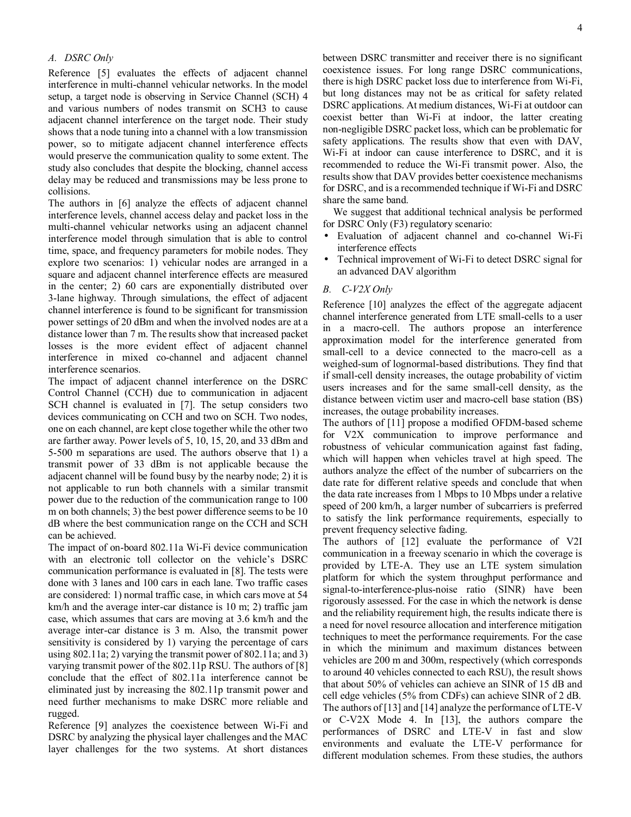# *A. DSRC Only*

Reference [5] evaluates the effects of adjacent channel interference in multi-channel vehicular networks. In the model setup, a target node is observing in Service Channel (SCH) 4 and various numbers of nodes transmit on SCH3 to cause adjacent channel interference on the target node. Their study shows that a node tuning into a channel with a low transmission power, so to mitigate adjacent channel interference effects would preserve the communication quality to some extent. The study also concludes that despite the blocking, channel access delay may be reduced and transmissions may be less prone to collisions.

The authors in [6] analyze the effects of adjacent channel interference levels, channel access delay and packet loss in the multi-channel vehicular networks using an adjacent channel interference model through simulation that is able to control time, space, and frequency parameters for mobile nodes. They explore two scenarios: 1) vehicular nodes are arranged in a square and adjacent channel interference effects are measured in the center; 2) 60 cars are exponentially distributed over 3-lane highway. Through simulations, the effect of adjacent channel interference is found to be significant for transmission power settings of 20 dBm and when the involved nodes are at a distance lower than 7 m. The results show that increased packet losses is the more evident effect of adjacent channel interference in mixed co-channel and adjacent channel interference scenarios.

The impact of adjacent channel interference on the DSRC Control Channel (CCH) due to communication in adjacent SCH channel is evaluated in [7]. The setup considers two devices communicating on CCH and two on SCH. Two nodes, one on each channel, are kept close together while the other two are farther away. Power levels of 5, 10, 15, 20, and 33 dBm and 5-500 m separations are used. The authors observe that 1) a transmit power of 33 dBm is not applicable because the adjacent channel will be found busy by the nearby node; 2) it is not applicable to run both channels with a similar transmit power due to the reduction of the communication range to 100 m on both channels; 3) the best power difference seems to be 10 dB where the best communication range on the CCH and SCH can be achieved.

The impact of on-board 802.11a Wi-Fi device communication with an electronic toll collector on the vehicle's DSRC communication performance is evaluated in [8]. The tests were done with 3 lanes and 100 cars in each lane. Two traffic cases are considered: 1) normal traffic case, in which cars move at 54 km/h and the average inter-car distance is 10 m; 2) traffic jam case, which assumes that cars are moving at 3.6 km/h and the average inter-car distance is 3 m. Also, the transmit power sensitivity is considered by 1) varying the percentage of cars using 802.11a; 2) varying the transmit power of 802.11a; and 3) varying transmit power of the 802.11p RSU. The authors of [8] conclude that the effect of 802.11a interference cannot be eliminated just by increasing the 802.11p transmit power and need further mechanisms to make DSRC more reliable and rugged.

Reference [9] analyzes the coexistence between Wi-Fi and DSRC by analyzing the physical layer challenges and the MAC layer challenges for the two systems. At short distances between DSRC transmitter and receiver there is no significant coexistence issues. For long range DSRC communications, there is high DSRC packet loss due to interference from Wi-Fi, but long distances may not be as critical for safety related DSRC applications. At medium distances, Wi-Fi at outdoor can coexist better than Wi-Fi at indoor, the latter creating non-negligible DSRC packet loss, which can be problematic for safety applications. The results show that even with DAV, Wi-Fi at indoor can cause interference to DSRC, and it is recommended to reduce the Wi-Fi transmit power. Also, the results show that DAV provides better coexistence mechanisms for DSRC, and is a recommended technique if Wi-Fi and DSRC share the same band.

We suggest that additional technical analysis be performed for DSRC Only (F3) regulatory scenario:

- Evaluation of adjacent channel and co-channel Wi-Fi interference effects
- Technical improvement of Wi-Fi to detect DSRC signal for an advanced DAV algorithm

### *B. C-V2X Only*

Reference [10] analyzes the effect of the aggregate adjacent channel interference generated from LTE small-cells to a user in a macro-cell. The authors propose an interference approximation model for the interference generated from small-cell to a device connected to the macro-cell as a weighed-sum of lognormal-based distributions. They find that if small-cell density increases, the outage probability of victim users increases and for the same small-cell density, as the distance between victim user and macro-cell base station (BS) increases, the outage probability increases.

The authors of [11] propose a modified OFDM-based scheme for V2X communication to improve performance and robustness of vehicular communication against fast fading, which will happen when vehicles travel at high speed. The authors analyze the effect of the number of subcarriers on the date rate for different relative speeds and conclude that when the data rate increases from 1 Mbps to 10 Mbps under a relative speed of 200 km/h, a larger number of subcarriers is preferred to satisfy the link performance requirements, especially to prevent frequency selective fading.

The authors of [12] evaluate the performance of V2I communication in a freeway scenario in which the coverage is provided by LTE-A. They use an LTE system simulation platform for which the system throughput performance and signal-to-interference-plus-noise ratio (SINR) have been rigorously assessed. For the case in which the network is dense and the reliability requirement high, the results indicate there is a need for novel resource allocation and interference mitigation techniques to meet the performance requirements. For the case in which the minimum and maximum distances between vehicles are 200 m and 300m, respectively (which corresponds to around 40 vehicles connected to each RSU), the result shows that about 50% of vehicles can achieve an SINR of 15 dB and cell edge vehicles (5% from CDFs) can achieve SINR of 2 dB. The authors of [13] and [14] analyze the performance of LTE-V or C-V2X Mode 4. In [13], the authors compare the performances of DSRC and LTE-V in fast and slow environments and evaluate the LTE-V performance for different modulation schemes. From these studies, the authors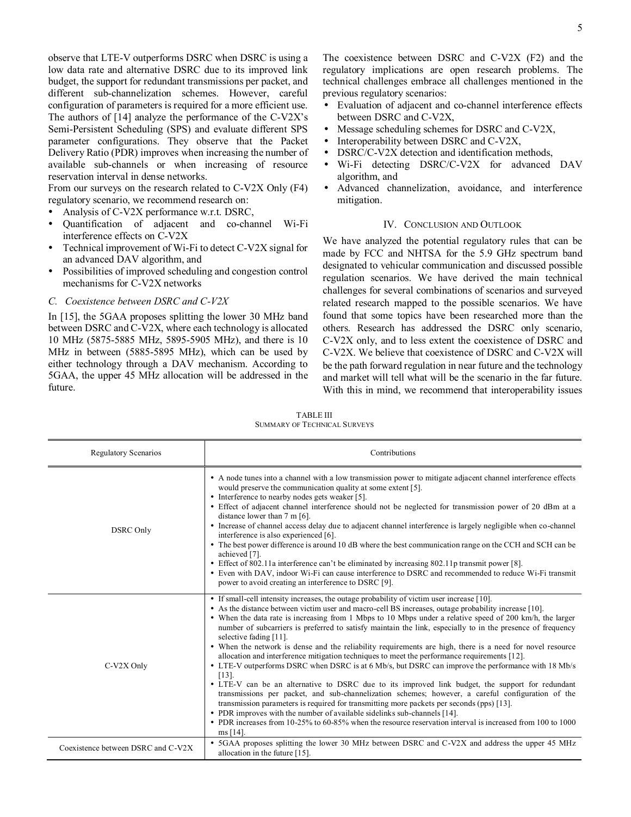observe that LTE-V outperforms DSRC when DSRC is using a low data rate and alternative DSRC due to its improved link budget, the support for redundant transmissions per packet, and different sub-channelization schemes. However, careful configuration of parameters is required for a more efficient use. The authors of [14] analyze the performance of the C-V2X's Semi-Persistent Scheduling (SPS) and evaluate different SPS parameter configurations. They observe that the Packet Delivery Ratio (PDR) improves when increasing the number of available sub-channels or when increasing of resource reservation interval in dense networks.

From our surveys on the research related to C-V2X Only (F4) regulatory scenario, we recommend research on:

- Analysis of C-V2X performance w.r.t. DSRC,
- Quantification of adjacent and co-channel Wi-Fi interference effects on C-V2X
- Technical improvement of Wi-Fi to detect C-V2X signal for an advanced DAV algorithm, and
- Possibilities of improved scheduling and congestion control mechanisms for C-V2X networks
- *C. Coexistence between DSRC and C-V2X*

In [15], the 5GAA proposes splitting the lower 30 MHz band between DSRC and C-V2X, where each technology is allocated 10 MHz (5875-5885 MHz, 5895-5905 MHz), and there is 10 MHz in between (5885-5895 MHz), which can be used by either technology through a DAV mechanism. According to 5GAA, the upper 45 MHz allocation will be addressed in the future.

The coexistence between DSRC and C-V2X (F2) and the regulatory implications are open research problems. The technical challenges embrace all challenges mentioned in the previous regulatory scenarios:

- Evaluation of adjacent and co-channel interference effects between DSRC and C-V2X,
- Message scheduling schemes for DSRC and C-V2X,
- Interoperability between DSRC and C-V2X,
- DSRC/C-V2X detection and identification methods,
- Wi-Fi detecting DSRC/C-V2X for advanced DAV algorithm, and
- Advanced channelization, avoidance, and interference mitigation.

#### IV. CONCLUSION AND OUTLOOK

We have analyzed the potential regulatory rules that can be made by FCC and NHTSA for the 5.9 GHz spectrum band designated to vehicular communication and discussed possible regulation scenarios. We have derived the main technical challenges for several combinations of scenarios and surveyed related research mapped to the possible scenarios. We have found that some topics have been researched more than the others. Research has addressed the DSRC only scenario, C-V2X only, and to less extent the coexistence of DSRC and C-V2X. We believe that coexistence of DSRC and C-V2X will be the path forward regulation in near future and the technology and market will tell what will be the scenario in the far future. With this in mind, we recommend that interoperability issues

| <b>Regulatory Scenarios</b>        | Contributions                                                                                                                                                                                                                                                                                                                                                                                                                                                                                                                                                                                                                                                                                                                                                                                                                                                                                                                                                                                                                                                                                                                                                                                                                                                                                     |  |  |  |  |  |
|------------------------------------|---------------------------------------------------------------------------------------------------------------------------------------------------------------------------------------------------------------------------------------------------------------------------------------------------------------------------------------------------------------------------------------------------------------------------------------------------------------------------------------------------------------------------------------------------------------------------------------------------------------------------------------------------------------------------------------------------------------------------------------------------------------------------------------------------------------------------------------------------------------------------------------------------------------------------------------------------------------------------------------------------------------------------------------------------------------------------------------------------------------------------------------------------------------------------------------------------------------------------------------------------------------------------------------------------|--|--|--|--|--|
| <b>DSRC</b> Only                   | • A node tunes into a channel with a low transmission power to mitigate adjacent channel interference effects<br>would preserve the communication quality at some extent [5].<br>• Interference to nearby nodes gets weaker [5].<br>• Effect of adjacent channel interference should not be neglected for transmission power of 20 dBm at a<br>distance lower than $7 \text{ m}$ [6].<br>• Increase of channel access delay due to adjacent channel interference is largely negligible when co-channel<br>interference is also experienced [6].<br>• The best power difference is around 10 dB where the best communication range on the CCH and SCH can be<br>achieved [7].<br>• Effect of 802.11a interference can't be eliminated by increasing 802.11p transmit power [8].<br>• Even with DAV, indoor Wi-Fi can cause interference to DSRC and recommended to reduce Wi-Fi transmit<br>power to avoid creating an interference to DSRC [9].                                                                                                                                                                                                                                                                                                                                                   |  |  |  |  |  |
| C-V2X Only                         | • If small-cell intensity increases, the outage probability of victim user increase [10].<br>• As the distance between victim user and macro-cell BS increases, outage probability increase [10].<br>• When the data rate is increasing from 1 Mbps to 10 Mbps under a relative speed of 200 km/h, the larger<br>number of subcarriers is preferred to satisfy maintain the link, especially to in the presence of frequency<br>selective fading [11].<br>• When the network is dense and the reliability requirements are high, there is a need for novel resource<br>allocation and interference mitigation techniques to meet the performance requirements [12].<br>• LTE-V outperforms DSRC when DSRC is at 6 Mb/s, but DSRC can improve the performance with 18 Mb/s<br>$[13]$ .<br>• LTE-V can be an alternative to DSRC due to its improved link budget, the support for redundant<br>transmissions per packet, and sub-channelization schemes; however, a careful configuration of the<br>transmission parameters is required for transmitting more packets per seconds (pps) [13].<br>• PDR improves with the number of available sidelinks sub-channels [14].<br>• PDR increases from 10-25% to 60-85% when the resource reservation interval is increased from 100 to 1000<br>ms [14]. |  |  |  |  |  |
| Coexistence between DSRC and C-V2X | • 5GAA proposes splitting the lower 30 MHz between DSRC and C-V2X and address the upper 45 MHz<br>allocation in the future $[15]$ .                                                                                                                                                                                                                                                                                                                                                                                                                                                                                                                                                                                                                                                                                                                                                                                                                                                                                                                                                                                                                                                                                                                                                               |  |  |  |  |  |

TABLE III SUMMARY OF TECHNICAL SURVEYS